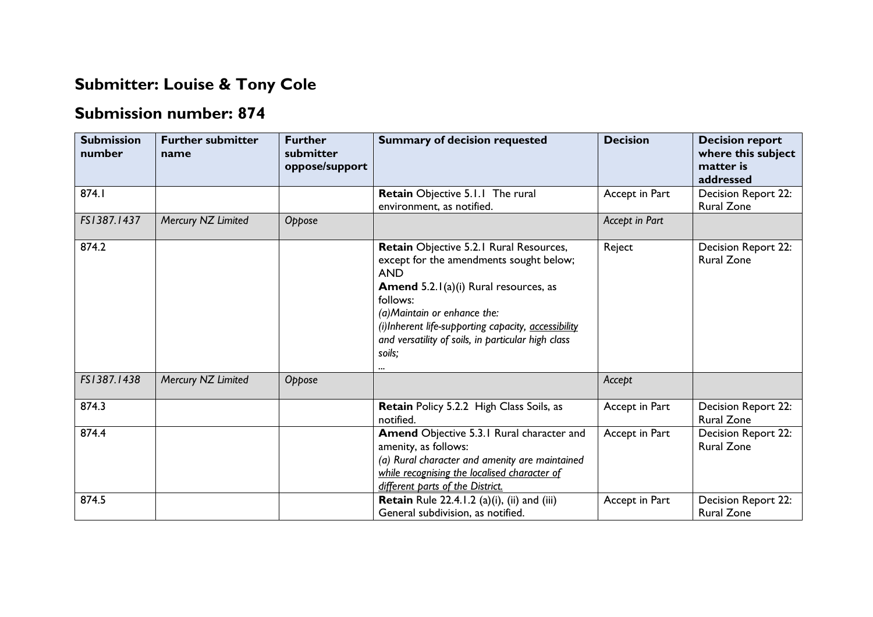## **Submitter: Louise & Tony Cole**

## **Submission number: 874**

| <b>Submission</b><br>number | <b>Further submitter</b><br>name | <b>Further</b><br>submitter<br>oppose/support | <b>Summary of decision requested</b>                                                                                                                                                                                                                                                                                 | <b>Decision</b> | <b>Decision report</b><br>where this subject<br>matter is<br>addressed |
|-----------------------------|----------------------------------|-----------------------------------------------|----------------------------------------------------------------------------------------------------------------------------------------------------------------------------------------------------------------------------------------------------------------------------------------------------------------------|-----------------|------------------------------------------------------------------------|
| 874.1                       |                                  |                                               | Retain Objective 5.1.1 The rural<br>environment, as notified.                                                                                                                                                                                                                                                        | Accept in Part  | Decision Report 22:<br><b>Rural Zone</b>                               |
| FS1387.1437                 | Mercury NZ Limited               | Oppose                                        |                                                                                                                                                                                                                                                                                                                      | Accept in Part  |                                                                        |
| 874.2                       |                                  |                                               | Retain Objective 5.2.1 Rural Resources,<br>except for the amendments sought below;<br><b>AND</b><br><b>Amend</b> 5.2.1(a)(i) Rural resources, as<br>follows:<br>(a) Maintain or enhance the:<br>(i) Inherent life-supporting capacity, accessibility<br>and versatility of soils, in particular high class<br>soils; | Reject          | Decision Report 22:<br><b>Rural Zone</b>                               |
| FS1387.1438                 | Mercury NZ Limited               | Oppose                                        |                                                                                                                                                                                                                                                                                                                      | Accept          |                                                                        |
| 874.3                       |                                  |                                               | <b>Retain Policy 5.2.2 High Class Soils, as</b><br>notified.                                                                                                                                                                                                                                                         | Accept in Part  | Decision Report 22:<br><b>Rural Zone</b>                               |
| 874.4                       |                                  |                                               | <b>Amend Objective 5.3.1 Rural character and</b><br>amenity, as follows:<br>(a) Rural character and amenity are maintained<br>while recognising the localised character of<br>different parts of the District.                                                                                                       | Accept in Part  | Decision Report 22:<br><b>Rural Zone</b>                               |
| 874.5                       |                                  |                                               | <b>Retain</b> Rule 22.4.1.2 (a)(i), (ii) and (iii)<br>General subdivision, as notified.                                                                                                                                                                                                                              | Accept in Part  | Decision Report 22:<br><b>Rural Zone</b>                               |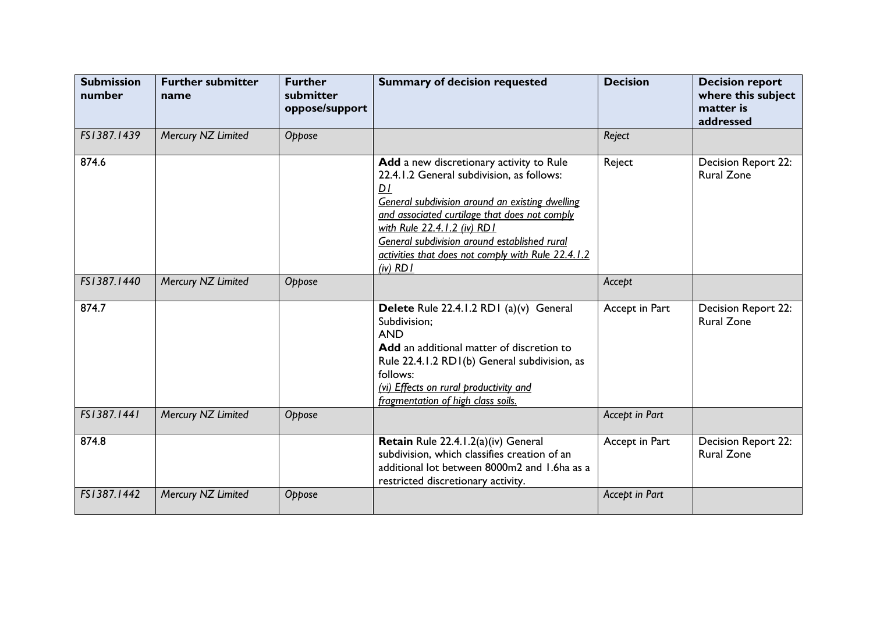| <b>Submission</b><br>number | <b>Further submitter</b><br>name | <b>Further</b><br>submitter<br>oppose/support | <b>Summary of decision requested</b>                                                                                                                                                                                                                                                                                                                | <b>Decision</b> | <b>Decision report</b><br>where this subject<br>matter is<br>addressed |
|-----------------------------|----------------------------------|-----------------------------------------------|-----------------------------------------------------------------------------------------------------------------------------------------------------------------------------------------------------------------------------------------------------------------------------------------------------------------------------------------------------|-----------------|------------------------------------------------------------------------|
| FS1387.1439                 | Mercury NZ Limited               | Oppose                                        |                                                                                                                                                                                                                                                                                                                                                     | Reject          |                                                                        |
| 874.6                       |                                  |                                               | Add a new discretionary activity to Rule<br>22.4.1.2 General subdivision, as follows:<br>D1<br>General subdivision around an existing dwelling<br>and associated curtilage that does not comply<br>with Rule 22.4.1.2 (iv) RD1<br>General subdivision around established rural<br>activities that does not comply with Rule 22.4.1.2<br>$(iv)$ RD I | Reject          | Decision Report 22:<br><b>Rural Zone</b>                               |
| FS1387.1440                 | Mercury NZ Limited               | Oppose                                        |                                                                                                                                                                                                                                                                                                                                                     | Accept          |                                                                        |
| 874.7                       |                                  |                                               | Delete Rule 22.4.1.2 RD1 (a)(v) General<br>Subdivision;<br><b>AND</b><br>Add an additional matter of discretion to<br>Rule 22.4.1.2 RD1(b) General subdivision, as<br>follows:<br>(vi) Effects on rural productivity and<br>fragmentation of high class soils.                                                                                      | Accept in Part  | Decision Report 22:<br><b>Rural Zone</b>                               |
| FS1387.1441                 | Mercury NZ Limited               | Oppose                                        |                                                                                                                                                                                                                                                                                                                                                     | Accept in Part  |                                                                        |
| 874.8                       |                                  |                                               | Retain Rule 22.4.1.2(a)(iv) General<br>subdivision, which classifies creation of an<br>additional lot between 8000m2 and 1.6ha as a<br>restricted discretionary activity.                                                                                                                                                                           | Accept in Part  | Decision Report 22:<br><b>Rural Zone</b>                               |
| FS1387.1442                 | Mercury NZ Limited               | Oppose                                        |                                                                                                                                                                                                                                                                                                                                                     | Accept in Part  |                                                                        |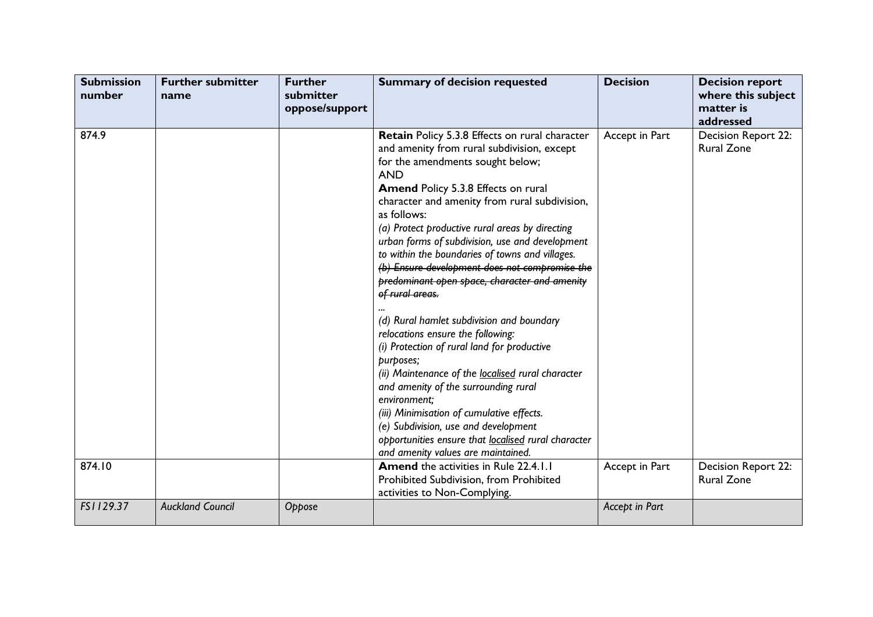| <b>Submission</b><br>number | <b>Further submitter</b><br>name | <b>Further</b><br>submitter<br>oppose/support | <b>Summary of decision requested</b>                                                                                                                                                                                                                                                                                                                                                                                                                                                                                                                                                                                                                                                                                                                                                                                                                                                                                                                                                                                                                                                | <b>Decision</b>                  | <b>Decision report</b><br>where this subject<br>matter is<br>addressed               |
|-----------------------------|----------------------------------|-----------------------------------------------|-------------------------------------------------------------------------------------------------------------------------------------------------------------------------------------------------------------------------------------------------------------------------------------------------------------------------------------------------------------------------------------------------------------------------------------------------------------------------------------------------------------------------------------------------------------------------------------------------------------------------------------------------------------------------------------------------------------------------------------------------------------------------------------------------------------------------------------------------------------------------------------------------------------------------------------------------------------------------------------------------------------------------------------------------------------------------------------|----------------------------------|--------------------------------------------------------------------------------------|
| 874.9<br>874.10             |                                  |                                               | Retain Policy 5.3.8 Effects on rural character<br>and amenity from rural subdivision, except<br>for the amendments sought below;<br><b>AND</b><br><b>Amend Policy 5.3.8 Effects on rural</b><br>character and amenity from rural subdivision,<br>as follows:<br>(a) Protect productive rural areas by directing<br>urban forms of subdivision, use and development<br>to within the boundaries of towns and villages.<br>(b) Ensure development does not compromise the<br>predominant open space, character and amenity<br>of rural areas.<br>(d) Rural hamlet subdivision and boundary<br>relocations ensure the following:<br>(i) Protection of rural land for productive<br>purposes;<br>(ii) Maintenance of the localised rural character<br>and amenity of the surrounding rural<br>environment:<br>(iii) Minimisation of cumulative effects.<br>(e) Subdivision, use and development<br>opportunities ensure that localised rural character<br>and amenity values are maintained.<br><b>Amend</b> the activities in Rule 22.4.1.1<br>Prohibited Subdivision, from Prohibited | Accept in Part<br>Accept in Part | Decision Report 22:<br><b>Rural Zone</b><br>Decision Report 22:<br><b>Rural Zone</b> |
| FS1129.37                   | <b>Auckland Council</b>          | Oppose                                        | activities to Non-Complying.                                                                                                                                                                                                                                                                                                                                                                                                                                                                                                                                                                                                                                                                                                                                                                                                                                                                                                                                                                                                                                                        | Accept in Part                   |                                                                                      |